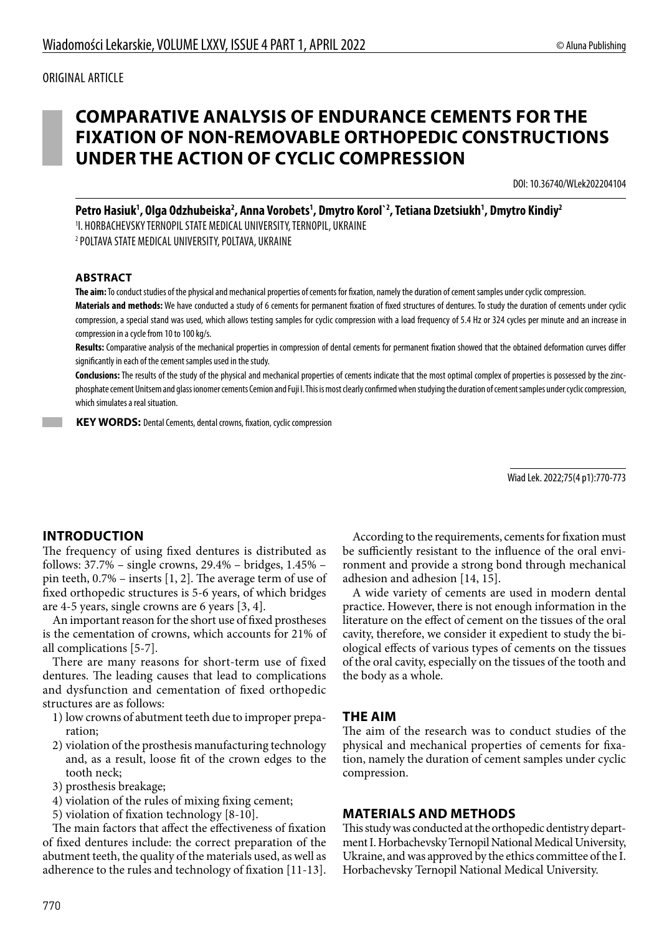# **COMPARATIVE ANALYSIS OF ENDURANCE CEMENTS FOR THE FIXATION OF NON-REMOVABLE ORTHOPEDIC CONSTRUCTIONS UNDER THE ACTION OF CYCLIC COMPRESSION**

DOI: 10.36740/WLek202204104

Petro Hasiuk<sup>1</sup>, Olga Odzhubeiska<sup>2</sup>, Anna Vorobets<sup>1</sup>, Dmytro Korol`<sup>2</sup>, Tetiana Dzetsiukh<sup>1</sup>, Dmytro Kindiy<sup>2</sup> 1 I. HORBACHEVSKY TERNOPIL STATE MEDICAL UNIVERSITY, TERNOPIL, UKRAINE

2 POLTAVA STATE MEDICAL UNIVERSITY, POLTAVA, UKRAINE

#### **ABSTRACT**

**The aim:** To conduct studies of the physical and mechanical properties of cements for fixation, namely the duration of cement samples under cyclic compression. **Materials and methods:** We have conducted a study of 6 cements for permanent fixation of fixed structures of dentures. To study the duration of cements under cyclic compression, a special stand was used, which allows testing samples for cyclic compression with a load frequency of 5.4 Hz or 324 cycles per minute and an increase in compression in a cycle from 10 to 100 kg/s.

**Results:** Comparative analysis of the mechanical properties in compression of dental cements for permanent fixation showed that the obtained deformation curves differ significantly in each of the cement samples used in the study.

**Conclusions:** The results of the study of the physical and mechanical properties of cements indicate that the most optimal complex of properties is possessed by the zincphosphate cement Unitsem and glass ionomer cements Cemion and Fuji I. This is most clearly confirmed when studying the duration of cement samples under cyclic compression, which simulates a real situation.

**KEY WORDS:** Dental Cements, dental crowns, fixation, cyclic compression

Wiad Lek. 2022;75(4 p1):770-773

## **INTRODUCTION**

The frequency of using fixed dentures is distributed as follows: 37.7% – single crowns, 29.4% – bridges, 1.45% – pin teeth, 0.7% – inserts [1, 2]. The average term of use of fixed orthopedic structures is 5-6 years, of which bridges are 4-5 years, single crowns are 6 years [3, 4].

An important reason for the short use of fixed prostheses is the cementation of crowns, which accounts for 21% of all complications [5-7].

There are many reasons for short-term use of fixed dentures. The leading causes that lead to complications and dysfunction and cementation of fixed orthopedic structures are as follows:

- 1) low crowns of abutment teeth due to improper preparation;
- 2) violation of the prosthesis manufacturing technology and, as a result, loose fit of the crown edges to the tooth neck;
- 3) prosthesis breakage;
- 4) violation of the rules of mixing fixing cement;
- 5) violation of fixation technology [8-10].

The main factors that affect the effectiveness of fixation of fixed dentures include: the correct preparation of the abutment teeth, the quality of the materials used, as well as adherence to the rules and technology of fixation [11-13].

According to the requirements, cements for fixation must be sufficiently resistant to the influence of the oral environment and provide a strong bond through mechanical adhesion and adhesion [14, 15].

A wide variety of cements are used in modern dental practice. However, there is not enough information in the literature on the effect of cement on the tissues of the oral cavity, therefore, we consider it expedient to study the biological effects of various types of cements on the tissues of the oral cavity, especially on the tissues of the tooth and the body as a whole.

#### **THE AIM**

The aim of the research was to conduct studies of the physical and mechanical properties of cements for fixation, namely the duration of cement samples under cyclic compression.

### **MATERIALS AND METHODS**

This study was conducted at the orthopedic dentistry department I. Horbachevsky Ternopil National Medical University, Ukraine, and was approved by the ethics committee of the I. Horbachevsky Ternopil National Medical University.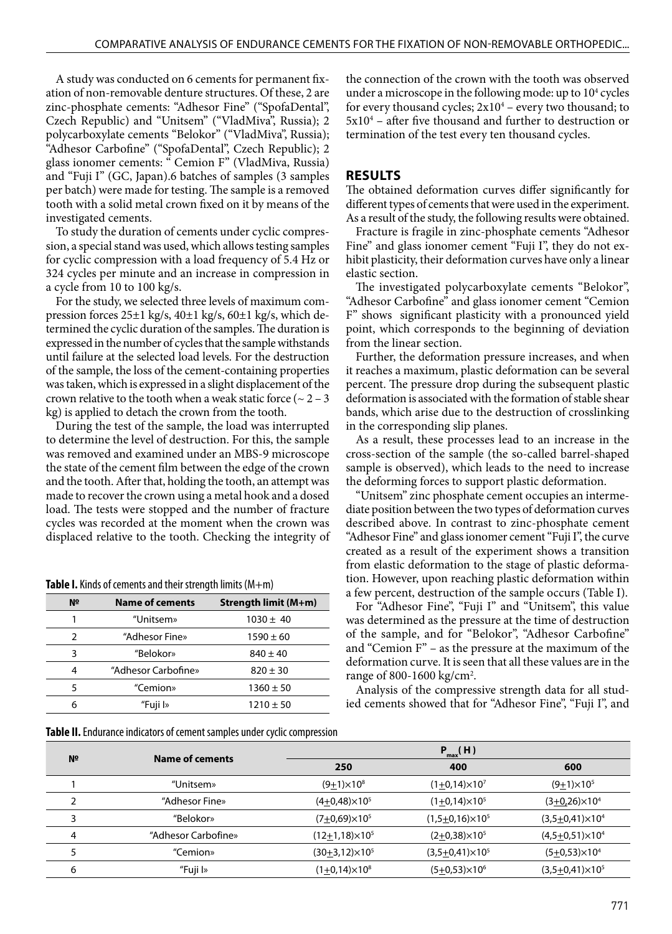A study was conducted on 6 cements for permanent fixation of non-removable denture structures. Of these, 2 are zinc-phosphate cements: "Adhesor Fine" ("SpofaDental", Czech Republic) and "Unitsem" ("VladMiva", Russia); 2 polycarboxylate cements "Belokor" ("VladMiva", Russia); "Adhesor Carbofine" ("SpofaDental", Czech Republic); 2 glass ionomer cements: " Cemion F" (VladMiva, Russia) and "Fuji I" (GC, Japan).6 batches of samples (3 samples per batch) were made for testing. The sample is a removed tooth with a solid metal crown fixed on it by means of the investigated cements.

To study the duration of cements under cyclic compression, a special stand was used, which allows testing samples for cyclic compression with a load frequency of 5.4 Hz or 324 cycles per minute and an increase in compression in a cycle from 10 to 100 kg/s.

For the study, we selected three levels of maximum compression forces 25±1 kg/s, 40±1 kg/s, 60±1 kg/s, which determined the cyclic duration of the samples. The duration is expressed in the number of cycles that the sample withstands until failure at the selected load levels. For the destruction of the sample, the loss of the cement-containing properties was taken, which is expressed in a slight displacement of the crown relative to the tooth when a weak static force ( $\sim$  2 – 3 kg) is applied to detach the crown from the tooth.

During the test of the sample, the load was interrupted to determine the level of destruction. For this, the sample was removed and examined under an MBS-9 microscope the state of the cement film between the edge of the crown and the tooth. After that, holding the tooth, an attempt was made to recover the crown using a metal hook and a dosed load. The tests were stopped and the number of fracture cycles was recorded at the moment when the crown was displaced relative to the tooth. Checking the integrity of

**Table I.** Kinds of cements and their strength limits (M+m)

| N <sub>2</sub> | <b>Name of cements</b> | Strength limit (M+m) |  |  |
|----------------|------------------------|----------------------|--|--|
|                | "Unitsem»              | $1030 \pm 40$        |  |  |
|                | "Adhesor Fine»         | $1590 \pm 60$        |  |  |
| 3              | "Belokor»              | $840 \pm 40$         |  |  |
| 4              | "Adhesor Carbofine»    | $820 \pm 30$         |  |  |
| 5              | "Cemion»               | $1360 \pm 50$        |  |  |
|                | "Fuji I»               | $1210 \pm 50$        |  |  |

**Table II.** Endurance indicators of cement samples under cyclic compression

the connection of the crown with the tooth was observed under a microscope in the following mode: up to  $10<sup>4</sup>$  cycles for every thousand cycles;  $2x10^4$  – every two thousand; to  $5x10<sup>4</sup>$  – after five thousand and further to destruction or termination of the test every ten thousand cycles.

### **RESULTS**

The obtained deformation curves differ significantly for different types of cements that were used in the experiment. As a result of the study, the following results were obtained.

Fracture is fragile in zinc-phosphate cements "Adhesor Fine" and glass ionomer cement "Fuji I", they do not exhibit plasticity, their deformation curves have only a linear elastic section.

The investigated polycarboxylate cements "Belokor", "Adhesor Carbofine" and glass ionomer cement "Cemion F" shows significant plasticity with a pronounced yield point, which corresponds to the beginning of deviation from the linear section.

Further, the deformation pressure increases, and when it reaches a maximum, plastic deformation can be several percent. The pressure drop during the subsequent plastic deformation is associated with the formation of stable shear bands, which arise due to the destruction of crosslinking in the corresponding slip planes.

As a result, these processes lead to an increase in the cross-section of the sample (the so-called barrel-shaped sample is observed), which leads to the need to increase the deforming forces to support plastic deformation.

"Unitsem" zinc phosphate cement occupies an intermediate position between the two types of deformation curves described above. In contrast to zinc-phosphate cement "Adhesor Fine" and glass ionomer cement "Fuji I", the curve created as a result of the experiment shows a transition from elastic deformation to the stage of plastic deformation. However, upon reaching plastic deformation within a few percent, destruction of the sample occurs (Table I).

For "Adhesor Fine", "Fuji I" and "Unitsem", this value was determined as the pressure at the time of destruction of the sample, and for "Belokor", "Adhesor Carbofine" and "Cemion F" – as the pressure at the maximum of the deformation curve. It is seen that all these values are in the range of 800-1600 kg/cm<sup>2</sup>.

Analysis of the compressive strength data for all studied cements showed that for "Adhesor Fine", "Fuji I", and

| N <sup>o</sup> |                     | $P_{max}(H)$             |                          |                         |
|----------------|---------------------|--------------------------|--------------------------|-------------------------|
|                | Name of cements     | 250                      | 400                      | 600                     |
|                | "Unitsem»           | $(9+1) \times 10^8$      | $(1+0.14)\times10^{7}$   | $(9+1)\times 10^5$      |
|                | "Adhesor Fine»      | $(4+0.48)\times10^{5}$   | $(1+0.14) \times 10^{5}$ | $(3+0.26)\times10^{4}$  |
| 3              | "Belokor»           | $(7+0.69)\times 10^{5}$  | $(1,5+0,16)\times 10^5$  | $(3,5+0,41)\times 10^4$ |
| 4              | "Adhesor Carbofine» | $(12+1,18)\times 10^{5}$ | $(2+0.38)\times10^{5}$   | $(4,5+0,51)\times10^4$  |
|                | "Cemion»            | $(30+3,12)\times 10^5$   | $(3,5+0,41)\times 10^5$  | $(5+0.53)\times 10^4$   |
| 6              | "Fuji I»            | $(1+0.14)\times10^{8}$   | $(5+0.53)\times10^{6}$   | $(3,5+0,41)\times 10^5$ |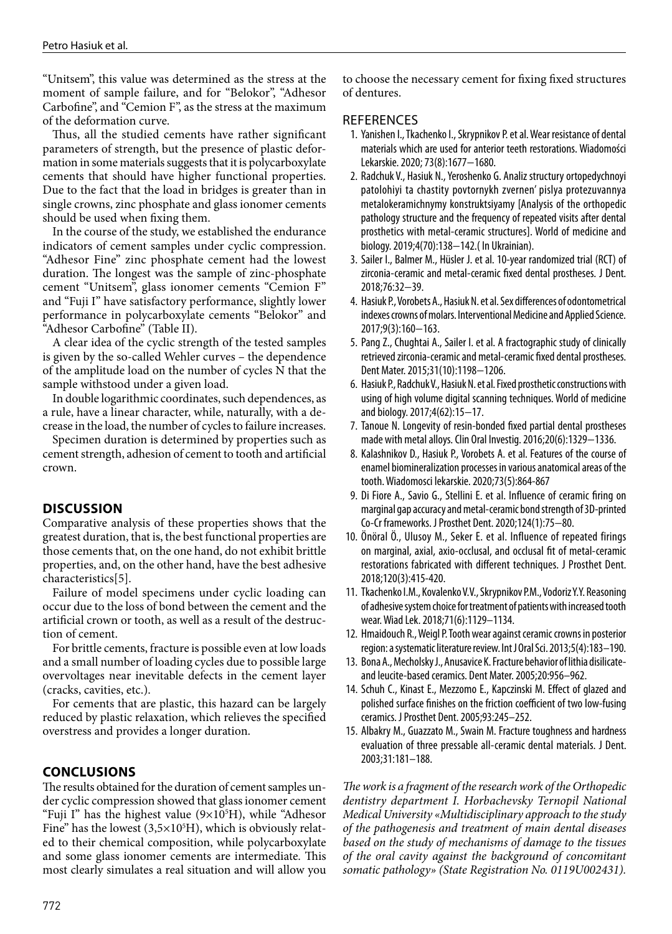"Unitsem", this value was determined as the stress at the moment of sample failure, and for "Belokor", "Adhesor Carbofine", and "Cemion F", as the stress at the maximum of the deformation curve.

Thus, all the studied cements have rather significant parameters of strength, but the presence of plastic deformation in some materials suggests that it is polycarboxylate cements that should have higher functional properties. Due to the fact that the load in bridges is greater than in single crowns, zinc phosphate and glass ionomer cements should be used when fixing them.

In the course of the study, we established the endurance indicators of cement samples under cyclic compression. "Adhesor Fine" zinc phosphate cement had the lowest duration. The longest was the sample of zinc-phosphate cement "Unitsem", glass ionomer cements "Cemion F" and "Fuji I" have satisfactory performance, slightly lower performance in polycarboxylate cements "Belokor" and "Adhesor Carbofine" (Table II).

A clear idea of the cyclic strength of the tested samples is given by the so-called Wehler curves – the dependence of the amplitude load on the number of cycles N that the sample withstood under a given load.

In double logarithmic coordinates, such dependences, as a rule, have a linear character, while, naturally, with a decrease in the load, the number of cycles to failure increases.

Specimen duration is determined by properties such as cement strength, adhesion of cement to tooth and artificial crown.

# **DISCUSSION**

Comparative analysis of these properties shows that the greatest duration, that is, the best functional properties are those cements that, on the one hand, do not exhibit brittle properties, and, on the other hand, have the best adhesive characteristics[5].

Failure of model specimens under cyclic loading can occur due to the loss of bond between the cement and the artificial crown or tooth, as well as a result of the destruction of cement.

For brittle cements, fracture is possible even at low loads and a small number of loading cycles due to possible large overvoltages near inevitable defects in the cement layer (cracks, cavities, etc.).

For cements that are plastic, this hazard can be largely reduced by plastic relaxation, which relieves the specified overstress and provides a longer duration.

# **CONCLUSIONS**

The results obtained for the duration of cement samples under cyclic compression showed that glass ionomer cement "Fuji I" has the highest value (9×105 Н), while "Adhesor Fine" has the lowest  $(3,5\times10^{5}H)$ , which is obviously related to their chemical composition, while polycarboxylate and some glass ionomer cements are intermediate. This most clearly simulates a real situation and will allow you

to choose the necessary cement for fixing fixed structures of dentures.

### **REFERENCES**

- 1. Yanishen I., Tkachenko I., Skrypnikov P. et al. Wear resistance of dental materials which are used for anterior teeth restorations. Wiadomości Lekarskie. 2020; 73(8):1677−1680.
- 2. Radchuk V., Hasiuk N., Yeroshenko G. Analiz structury ortopedychnoyi patolohiyi ta chastity povtornykh zvernen' pislya protezuvannya metalokeramichnymy konstruktsiyamy [Analysis of the orthopedic pathology structure and the frequency of repeated visits after dental prosthetics with metal-ceramic structures]. World of medicine and biology. 2019;4(70):138−142.( In Ukrainian).
- 3. Sailer I., Balmer M., Hüsler J. et al. 10-year randomized trial (RCT) of zirconia-ceramic and metal-ceramic fixed dental prostheses. J Dent. 2018;76:32−39.
- 4. Hasiuk P., Vorobets A., Hasiuk N. et al. Sex differences of odontometrical indexes crowns of molars. Interventional Medicine and Applied Science. 2017;9(3):160−163.
- 5. Pang Z., Chughtai A., Sailer I. et al. A fractographic study of clinically retrieved zirconia-ceramic and metal-ceramic fixed dental prostheses. Dent Mater. 2015;31(10):1198−1206.
- 6. Hasiuk P., Radchuk V., Hasiuk N. et al. Fixed prosthetic constructions with using of high volume digital scanning techniques. World of medicine and biology. 2017;4(62):15−17.
- 7. Tanoue N. Longevity of resin-bonded fixed partial dental prostheses made with metal alloys. Clin Oral Investig. 2016;20(6):1329−1336.
- 8. Kalashnikov D., Hasiuk P., Vorobets A. et al. Features of the course of enamel biomineralization processes in various anatomical areas of the tooth. Wiadomosci lekarskie. 2020;73(5):864-867
- 9. Di Fiore A., Savio G., Stellini E. et al. Influence of ceramic firing on marginal gap accuracy and metal-ceramic bond strength of 3D-printed Co-Cr frameworks. J Prosthet Dent. 2020;124(1):75−80.
- 10. Önöral Ö., Ulusoy M., Seker E. et al. Influence of repeated firings on marginal, axial, axio-occlusal, and occlusal fit of metal-ceramic restorations fabricated with different techniques. J Prosthet Dent. 2018;120(3):415-420.
- 11. Tkachenko I.M., Kovalenko V.V., Skrypnikov P.M., Vodoriz Y.Y. Reasoning of adhesive system choice for treatment of patients with increased tooth wear. Wiad Lek. 2018;71(6):1129–1134.
- 12. Hmaidouch R., Weigl P. Tooth wear against ceramic crowns in posterior region: a systematic literature review. Int J Oral Sci. 2013;5(4):183–190.
- 13. Bona A., Mecholsky J., Anusavice K. Fracture behavior of lithia disilicateand leucite-based ceramics. Dent Mater. 2005;20:956–962.
- 14. Schuh C., Kinast E., Mezzomo E., Kapczinski M. Effect of glazed and polished surface finishes on the friction coefficient of two low-fusing ceramics. J Prosthet Dent. 2005;93:245–252.
- 15. Albakry M., Guazzato M., Swain M. Fracture toughness and hardness evaluation of three pressable all-ceramic dental materials. J Dent. 2003;31:181–188.

*The work is a fragment of the research work of the Orthopedic dentistry department I. Horbachevsky Ternopil National Medical University «Multidisciplinary approach to the study of the pathogenesis and treatment of main dental diseases based on the study of mechanisms of damage to the tissues of the oral cavity against the background of concomitant somatic pathology» (State Registration No. 0119U002431).*